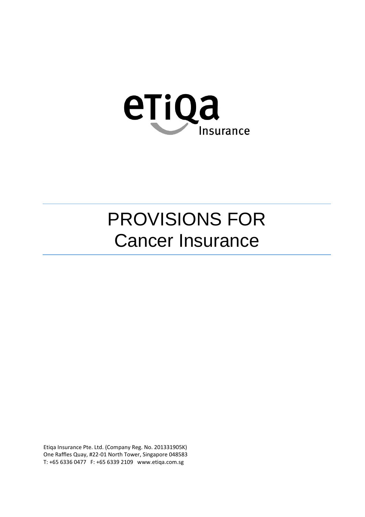

# PROVISIONS FOR Cancer Insurance

Etiqa Insurance Pte. Ltd. (Company Reg. No. 201331905K) One Raffles Quay, #22-01 North Tower, Singapore 048583 T: +65 6336 0477 F: +65 6339 2109 www.etiqa.com.sg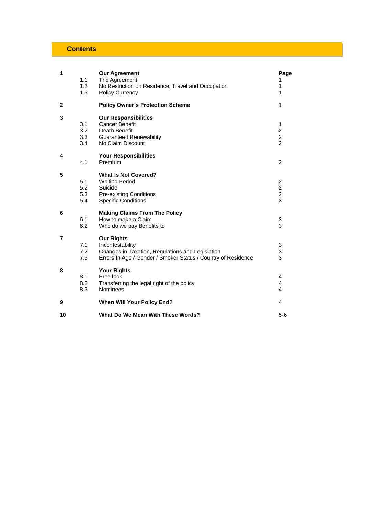# **Contents**

| 1              |            | <b>Our Agreement</b>                                                         | Page                    |
|----------------|------------|------------------------------------------------------------------------------|-------------------------|
|                | 1.1        | The Agreement                                                                | 1                       |
|                | 1.2<br>1.3 | No Restriction on Residence, Travel and Occupation<br><b>Policy Currency</b> | 1<br>1                  |
|                |            |                                                                              |                         |
| 2              |            | <b>Policy Owner's Protection Scheme</b>                                      | 1                       |
| 3              |            | <b>Our Responsibilities</b>                                                  |                         |
|                | 3.1        | <b>Cancer Benefit</b>                                                        | 1                       |
|                | 3.2        | Death Benefit                                                                | $\overline{c}$          |
|                | 3.3        | <b>Guaranteed Renewability</b>                                               | $\overline{2}$          |
|                | 3.4        | No Claim Discount                                                            | $\overline{2}$          |
| 4              |            | <b>Your Responsibilities</b>                                                 |                         |
|                | 4.1        | Premium                                                                      | $\overline{2}$          |
| 5              |            | <b>What Is Not Covered?</b>                                                  |                         |
|                | 5.1        | <b>Waiting Period</b>                                                        | $\overline{\mathbf{c}}$ |
|                | 5.2        | Suicide                                                                      | $\overline{\mathbf{c}}$ |
|                | 5.3        | <b>Pre-existing Conditions</b>                                               | $\overline{c}$          |
|                | 5.4        | <b>Specific Conditions</b>                                                   | 3                       |
| 6              |            | <b>Making Claims From The Policy</b>                                         |                         |
|                | 6.1        | How to make a Claim                                                          | 3                       |
|                | 6.2        | Who do we pay Benefits to                                                    | 3                       |
| $\overline{7}$ |            | <b>Our Rights</b>                                                            |                         |
|                | 7.1        | Incontestability                                                             | 3                       |
|                | 7.2        | Changes in Taxation, Regulations and Legislation                             | 3                       |
|                | 7.3        | Errors In Age / Gender / Smoker Status / Country of Residence                | 3                       |
| 8              |            | <b>Your Rights</b>                                                           |                         |
|                | 8.1        | Free look                                                                    | 4                       |
|                | 8.2        | Transferring the legal right of the policy                                   | 4                       |
|                | 8.3        | <b>Nominees</b>                                                              | $\overline{\mathbf{A}}$ |
| 9              |            | <b>When Will Your Policy End?</b>                                            | 4                       |
| 10             |            | What Do We Mean With These Words?                                            | $5-6$                   |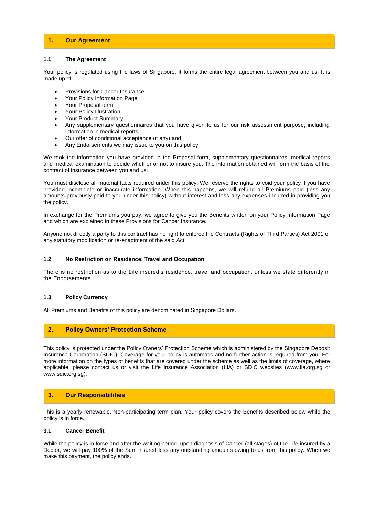# **1. Our Agreement**

#### **1.1 The Agreement**

Your policy is regulated using the laws of Singapore. It forms the entire legal agreement between you and us. It is made up of:

- Provisions for Cancer Insurance
- Your Policy Information Page
- Your Proposal form
- Your Policy Illustration
- Your Product Summary
- Any supplementary questionnaires that you have given to us for our risk assessment purpose, including information in medical reports
- Our offer of conditional acceptance (if any) and
- Any Endorsements we may issue to you on this policy

We took the information you have provided in the Proposal form, supplementary questionnaires, medical reports and medical examination to decide whether or not to insure you. The information obtained will form the basis of the contract of insurance between you and us.

You must disclose all material facts required under this policy. We reserve the rights to void your policy if you have provided incomplete or inaccurate information. When this happens, we will refund all Premiums paid (less any amounts previously paid to you under this policy) without interest and less any expenses incurred in providing you the policy.

In exchange for the Premiums you pay, we agree to give you the Benefits written on your Policy Information Page and which are explained in these Provisions for Cancer Insurance.

Anyone not directly a party to this contract has no right to enforce the Contracts (Rights of Third Parties) Act 2001 or any statutory modification or re-enactment of the said Act.

#### **1.2 No Restriction on Residence, Travel and Occupation**

There is no restriction as to the Life insured's residence, travel and occupation, unless we state differently in the Endorsements.

# **1.3 Policy Currency**

All Premiums and Benefits of this policy are denominated in Singapore Dollars.

# **2. Policy Owners' Protection Scheme**

This policy is protected under the Policy Owners' Protection Scheme which is administered by the Singapore Deposit Insurance Corporation (SDIC). Coverage for your policy is automatic and no further action is required from you. For more information on the types of benefits that are covered under the scheme as well as the limits of coverage, where applicable, please contact us or visit the Life Insurance Association (LIA) or SDIC websites (www.lia.org.sg or www.sdic.org.sg).

# **3. Our Responsibilities**

This is a yearly renewable, Non-participating term plan. Your policy covers the Benefits described below while the policy is in force.

#### **3.1 Cancer Benefit**

While the policy is in force and after the waiting period, upon diagnosis of Cancer (all stages) of the Life insured by a Doctor, we will pay 100% of the Sum insured less any outstanding amounts owing to us from this policy. When we make this payment, the policy ends.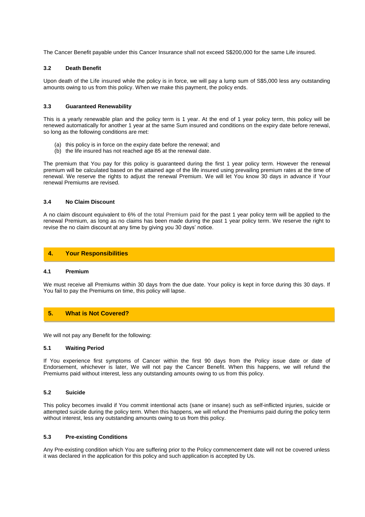The Cancer Benefit payable under this Cancer Insurance shall not exceed S\$200,000 for the same Life insured.

#### **3.2 Death Benefit**

Upon death of the Life insured while the policy is in force, we will pay a lump sum of S\$5,000 less any outstanding amounts owing to us from this policy. When we make this payment, the policy ends.

#### **3.3 Guaranteed Renewability**

This is a yearly renewable plan and the policy term is 1 year. At the end of 1 year policy term, this policy will be renewed automatically for another 1 year at the same Sum insured and conditions on the expiry date before renewal, so long as the following conditions are met:

- (a) this policy is in force on the expiry date before the renewal; and
- (b) the life insured has not reached age 85 at the renewal date.

The premium that You pay for this policy is guaranteed during the first 1 year policy term. However the renewal premium will be calculated based on the attained age of the life insured using prevailing premium rates at the time of renewal. We reserve the rights to adjust the renewal Premium. We will let You know 30 days in advance if Your renewal Premiums are revised.

#### **3.4 No Claim Discount**

A no claim discount equivalent to 6% of the total Premium paid for the past 1 year policy term will be applied to the renewal Premium, as long as no claims has been made during the past 1 year policy term. We reserve the right to revise the no claim discount at any time by giving you 30 days' notice.

# **4. Your Responsibilities**

### **4.1 Premium**

We must receive all Premiums within 30 days from the due date. Your policy is kept in force during this 30 days. If You fail to pay the Premiums on time, this policy will lapse.

# **5. What is Not Covered?**

We will not pay any Benefit for the following:

#### **5.1 Waiting Period**

If You experience first symptoms of Cancer within the first 90 days from the Policy issue date or date of Endorsement, whichever is later, We will not pay the Cancer Benefit. When this happens, we will refund the Premiums paid without interest, less any outstanding amounts owing to us from this policy.

#### **5.2 Suicide**

This policy becomes invalid if You commit intentional acts (sane or insane) such as self-inflicted injuries, suicide or attempted suicide during the policy term. When this happens, we will refund the Premiums paid during the policy term without interest, less any outstanding amounts owing to us from this policy.

#### **5.3 Pre-existing Conditions**

Any Pre-existing condition which You are suffering prior to the Policy commencement date will not be covered unless it was declared in the application for this policy and such application is accepted by Us.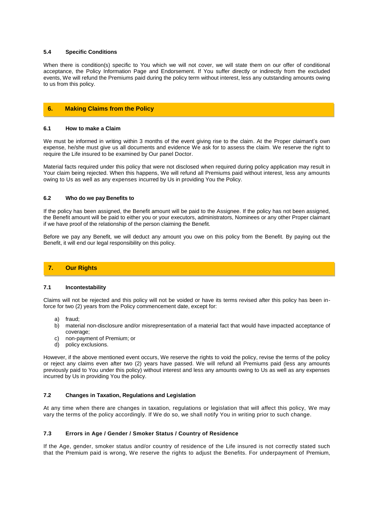#### **5.4 Specific Conditions**

When there is condition(s) specific to You which we will not cover, we will state them on our offer of conditional acceptance, the Policy Information Page and Endorsement. If You suffer directly or indirectly from the excluded events, We will refund the Premiums paid during the policy term without interest, less any outstanding amounts owing to us from this policy.

# **6. Making Claims from the Policy**

#### **6.1 How to make a Claim**

We must be informed in writing within 3 months of the event giving rise to the claim. At the Proper claimant's own expense, he/she must give us all documents and evidence We ask for to assess the claim. We reserve the right to require the Life insured to be examined by Our panel Doctor.

Material facts required under this policy that were not disclosed when required during policy application may result in Your claim being rejected. When this happens, We will refund all Premiums paid without interest, less any amounts owing to Us as well as any expenses incurred by Us in providing You the Policy.

#### **6.2 Who do we pay Benefits to**

If the policy has been assigned, the Benefit amount will be paid to the Assignee. If the policy has not been assigned, the Benefit amount will be paid to either you or your executors, administrators, Nominees or any other Proper claimant if we have proof of the relationship of the person claiming the Benefit.

Before we pay any Benefit, we will deduct any amount you owe on this policy from the Benefit. By paying out the Benefit, it will end our legal responsibility on this policy.

# **7. Our Rights**

#### **7.1 Incontestability**

Claims will not be rejected and this policy will not be voided or have its terms revised after this policy has been inforce for two (2) years from the Policy commencement date, except for:

- a) fraud;
- b) material non-disclosure and/or misrepresentation of a material fact that would have impacted acceptance of coverage;
- c) non-payment of Premium; or
- d) policy exclusions.

However, if the above mentioned event occurs, We reserve the rights to void the policy, revise the terms of the policy or reject any claims even after two (2) years have passed. We will refund all Premiums paid (less any amounts previously paid to You under this policy) without interest and less any amounts owing to Us as well as any expenses incurred by Us in providing You the policy.

# **7.2 Changes in Taxation, Regulations and Legislation**

At any time when there are changes in taxation, regulations or legislation that will affect this policy, We may vary the terms of the policy accordingly. If We do so, we shall notify You in writing prior to such change.

# **7.3 Errors in Age / Gender / Smoker Status / Country of Residence**

If the Age, gender, smoker status and/or country of residence of the Life insured is not correctly stated such that the Premium paid is wrong, We reserve the rights to adjust the Benefits. For underpayment of Premium,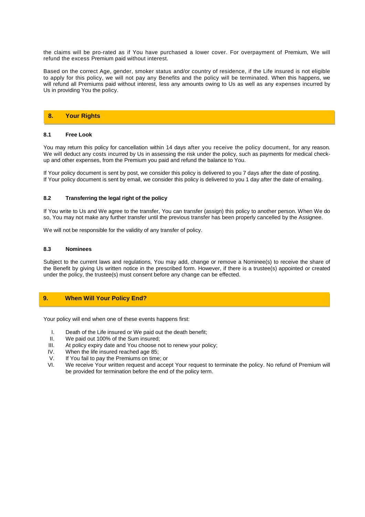the claims will be pro-rated as if You have purchased a lower cover. For overpayment of Premium, We will refund the excess Premium paid without interest.

Based on the correct Age, gender, smoker status and/or country of residence, if the Life insured is not eligible to apply for this policy, we will not pay any Benefits and the policy will be terminated. When this happens, we will refund all Premiums paid without interest, less any amounts owing to Us as well as any expenses incurred by Us in providing You the policy.

# **8. Your Rights**

#### **8.1 Free Look**

You may return this policy for cancellation within 14 days after you receive the policy document, for any reason. We will deduct any costs incurred by Us in assessing the risk under the policy, such as payments for medical checkup and other expenses, from the Premium you paid and refund the balance to You.

If Your policy document is sent by post, we consider this policy is delivered to you 7 days after the date of posting. If Your policy document is sent by email, we consider this policy is delivered to you 1 day after the date of emailing.

#### **8.2 Transferring the legal right of the policy**

If You write to Us and We agree to the transfer, You can transfer (assign) this policy to another person. When We do so, You may not make any further transfer until the previous transfer has been properly cancelled by the Assignee.

We will not be responsible for the validity of any transfer of policy.

#### **8.3 Nominees**

Subject to the current laws and regulations, You may add, change or remove a Nominee(s) to receive the share of the Benefit by giving Us written notice in the prescribed form. However, if there is a trustee(s) appointed or created under the policy, the trustee(s) must consent before any change can be effected.

# **9. When Will Your Policy End?**

Your policy will end when one of these events happens first:

- I. Death of the Life insured or We paid out the death benefit;
- II. We paid out 100% of the Sum insured;<br>III. At policy expiry date and You choose n
- At policy expiry date and You choose not to renew your policy;
- IV. When the life insured reached age 85;
- V. If You fail to pay the Premiums on time; or
- VI. We receive Your written request and accept Your request to terminate the policy. No refund of Premium will be provided for termination before the end of the policy term.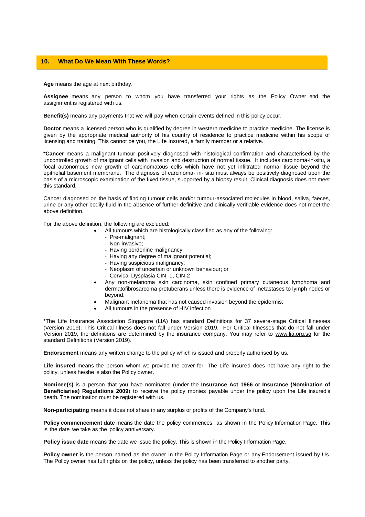#### **10. What Do We Mean With These Words?**

**Age** means the age at next birthday.

**Assignee** means any person to whom you have transferred your rights as the Policy Owner and the assignment is registered with us.

**Benefit(s)** means any payments that we will pay when certain events defined in this policy occur.

**Doctor** means a licensed person who is qualified by degree in western medicine to practice medicine. The license is given by the appropriate medical authority of his country of residence to practice medicine within his scope of licensing and training. This cannot be you, the Life insured, a family member or a relative.

**\*Cancer** means a malignant tumour positively diagnosed with histological confirmation and characterised by the uncontrolled growth of malignant cells with invasion and destruction of normal tissue. It includes carcinoma-in-situ, a focal autonomous new growth of carcinomatous cells which have not yet infiltrated normal tissue beyond the epithelial basement membrane. The diagnosis of carcinoma- in- situ must always be positively diagnosed upon the basis of a microscopic examination of the fixed tissue, supported by a biopsy result. Clinical diagnosis does not meet this standard.

Cancer diagnosed on the basis of finding tumour cells and/or tumour-associated molecules in blood, saliva, faeces, urine or any other bodily fluid in the absence of further definitive and clinically verifiable evidence does not meet the above definition.

For the above definition, the following are excluded:

- All tumours which are histologically classified as any of the following:
	- Pre-malignant;
	- Non-invasive;
	- Having borderline malignancy;
	- Having any degree of malignant potential;
	- Having suspicious malignancy;
	- Neoplasm of uncertain or unknown behaviour; or
	- Cervical Dysplasia CIN -1, CIN-2
- Any non-melanoma skin carcinoma, skin confined primary cutaneous lymphoma and dermatofibrosarcoma protuberans unless there is evidence of metastases to lymph nodes or beyond;
- Malignant melanoma that has not caused invasion beyond the epidermis;
- All tumours in the presence of HIV infection

\*The Life Insurance Association Singapore (LIA) has standard Definitions for 37 severe-stage Critical Illnesses (Version 2019). This Critical Illness does not fall under Version 2019. For Critical Illnesses that do not fall under Version 2019, the definitions are determined by the insurance company. You may refer to www.lia.org.sg for the standard Definitions (Version 2019).

**Endorsement** means any written change to the policy which is issued and properly authorised by us.

**Life insured** means the person whom we provide the cover for. The Life insured does not have any right to the policy, unless he/she is also the Policy owner.

**Nominee(s)** is a person that you have nominated (under the **Insurance Act 1966** or **Insurance (Nomination of Beneficiaries) Regulations 2009**) to receive the policy monies payable under the policy upon the Life insured's death. The nomination must be registered with us.

**Non-participating** means it does not share in any surplus or profits of the Company's fund.

**Policy commencement date** means the date the policy commences, as shown in the Policy Information Page. This is the date we take as the policy anniversary.

**Policy issue date** means the date we issue the policy. This is shown in the Policy Information Page.

**Policy owner** is the person named as the owner in the Policy Information Page or any Endorsement issued by Us. The Policy owner has full rights on the policy, unless the policy has been transferred to another party.